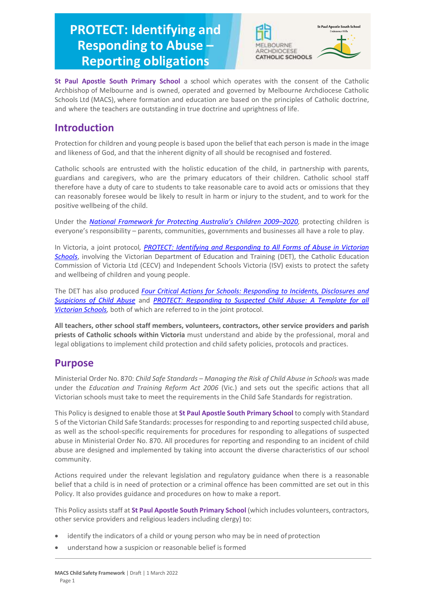# **PROTECT: Identifying and Responding to Abuse – Reporting obligations**





**St Paul Apostle South Primary School** a school which operates with the consent of the Catholic Archbishop of Melbourne and is owned, operated and governed by Melbourne Archdiocese Catholic Schools Ltd (MACS), where formation and education are based on the principles of Catholic doctrine, and where the teachers are outstanding in true doctrine and uprightness of life.

# **Introduction**

Protection for children and young people is based upon the belief that each person is made in the image and likeness of God, and that the inherent dignity of all should be recognised and fostered.

Catholic schools are entrusted with the holistic education of the child, in partnership with parents, guardians and caregivers, who are the primary educators of their children. Catholic school staff therefore have a duty of care to students to take reasonable care to avoid acts or omissions that they can reasonably foresee would be likely to result in harm or injury to the student, and to work for the positive wellbeing of the child.

Under the *[National Framework for Protecting Australia's Children 2009–](https://www.dss.gov.au/our-responsibilities/families-and-children/publications-articles/protecting-children-is-everyones-business)202[0,](https://www.dss.gov.au/our-responsibilities/families-and-children/publications-articles/protecting-children-is-everyones-business)* protecting children is everyone's responsibility – parents, communities, governments and businesses all have a role to play.

In Victoria, a joint protocol*, [PROTECT: Identifying and Responding to All Forms of Abuse in Victorian](http://www.education.vic.gov.au/Documents/about/programs/health/protect/ChildSafeStandard5_SchoolsGuide.pdf)  [Schools](http://www.education.vic.gov.au/Documents/about/programs/health/protect/ChildSafeStandard5_SchoolsGuide.pdf)*[, i](http://www.education.vic.gov.au/Documents/about/programs/health/protect/ChildSafeStandard5_SchoolsGuide.pdf)nvolving the Victorian Department of Education and Training (DET), the Catholic Education Commission of Victoria Ltd (CECV) and Independent Schools Victoria (ISV) exists to protect the safety and wellbeing of children and young people.

The DET has also produced *[Four Critical Actions for Schools: Responding to Incidents, Disclosures and](http://www.education.vic.gov.au/Documents/about/programs/health/protect/FourCriticalActions_ChildAbuse.pdf)  [Suspicions of Child Abuse](http://www.education.vic.gov.au/Documents/about/programs/health/protect/FourCriticalActions_ChildAbuse.pdf)* and *[PROTECT: Responding to Suspected Child Abuse: A Template for all](http://www.education.vic.gov.au/Documents/about/programs/health/protect/PROTECT_Responding_TemplateSchools.pdf)  [Victorian Schools,](http://www.education.vic.gov.au/Documents/about/programs/health/protect/PROTECT_Responding_TemplateSchools.pdf)* both of which are referred to in the joint protocol.

**All teachers, other school staff members, volunteers, contractors, other service providers and parish priests of Catholic schools within Victoria** must understand and abide by the professional, moral and legal obligations to implement child protection and child safety policies, protocols and practices.

# **Purpose**

Ministerial Order No. 870: *Child Safe Standards – Managing the Risk of Child Abuse in Schools* was made under the *Education and Training Reform Act 2006* (Vic.) and sets out the specific actions that all Victorian schools must take to meet the requirements in the Child Safe Standards for registration.

This Policy is designed to enable those at **St Paul Apostle South Primary School** to comply with Standard 5 of the Victorian Child Safe Standards: processes for responding to and reporting suspected child abuse, as well as the school-specific requirements for procedures for responding to allegations of suspected abuse in Ministerial Order No. 870. All procedures for reporting and responding to an incident of child abuse are designed and implemented by taking into account the diverse characteristics of our school community.

Actions required under the relevant legislation and regulatory guidance when there is a reasonable belief that a child is in need of protection or a criminal offence has been committed are set out in this Policy. It also provides guidance and procedures on how to make a report.

This Policy assists staff at **St Paul Apostle South Primary School** (which includes volunteers, contractors, other service providers and religious leaders including clergy) to:

- identify the indicators of a child or young person who may be in need of protection
- understand how a suspicion or reasonable belief is formed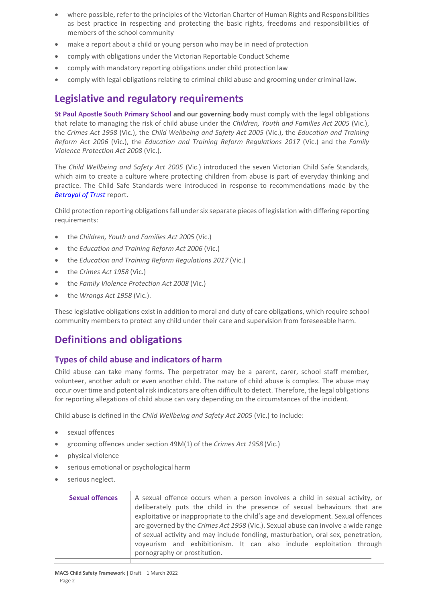- where possible, refer to the principles of the Victorian Charter of Human Rights and Responsibilities as best practice in respecting and protecting the basic rights, freedoms and responsibilities of members of the school community
- make a report about a child or young person who may be in need of protection
- comply with obligations under the Victorian Reportable Conduct Scheme
- comply with mandatory reporting obligations under child protection law
- comply with legal obligations relating to criminal child abuse and grooming under criminal law.

# **Legislative and regulatory requirements**

**St Paul Apostle South Primary School and our governing body** must comply with the legal obligations that relate to managing the risk of child abuse under the *Children, Youth and Families Act 2005* (Vic.), the *Crimes Act 1958* (Vic.), the *Child Wellbeing and Safety Act 2005* (Vic.), the *Education and Training Reform Act 2006* (Vic.), the *Education and Training Reform Regulations 2017* (Vic.) and the *Family Violence Protection Act 2008* (Vic.).

The *Child Wellbeing and Safety Act 2005* (Vic.) introduced the seven Victorian Child Safe Standards, which aim to create a culture where protecting children from abuse is part of everyday thinking and practice. The Child Safe Standards were introduced in response to recommendations made by the *[Betrayal of Trust](http://www.parliament.vic.gov.au/file_uploads/Inquiry_into_Handling_of_Abuse_Volume_2_FINAL_web_y78t3Wpb.pdf)* report.

Child protection reporting obligations fall under six separate pieces of legislation with differing reporting requirements:

- the *Children, Youth and Families Act 2005* (Vic.)
- the *Education and Training Reform Act 2006* (Vic.)
- the *Education and Training Reform Regulations 2017* (Vic.)
- the *Crimes Act 1958* (Vic.)
- the *Family Violence Protection Act 2008* (Vic.)
- the *Wrongs Act 1958* (Vic.).

These legislative obligations exist in addition to moral and duty of care obligations, which require school community members to protect any child under their care and supervision from foreseeable harm.

# **Definitions and obligations**

# **Types of child abuse and indicators of harm**

Child abuse can take many forms. The perpetrator may be a parent, carer, school staff member, volunteer, another adult or even another child. The nature of child abuse is complex. The abuse may occur over time and potential risk indicators are often difficult to detect. Therefore, the legal obligations for reporting allegations of child abuse can vary depending on the circumstances of the incident.

Child abuse is defined in the *Child Wellbeing and Safety Act 2005* (Vic.) to include:

- sexual offences
- grooming offences under section 49M(1) of the *Crimes Act 1958* (Vic.)
- physical violence
- serious emotional or psychological harm
- serious neglect.

| <b>Sexual offences</b> | A sexual offence occurs when a person involves a child in sexual activity, or            |
|------------------------|------------------------------------------------------------------------------------------|
|                        | deliberately puts the child in the presence of sexual behaviours that are                |
|                        | exploitative or inappropriate to the child's age and development. Sexual offences        |
|                        | are governed by the <i>Crimes Act 1958</i> (Vic.). Sexual abuse can involve a wide range |
|                        | of sexual activity and may include fondling, masturbation, oral sex, penetration,        |
|                        | voyeurism and exhibitionism. It can also include exploitation through                    |
|                        | pornography or prostitution.                                                             |
|                        |                                                                                          |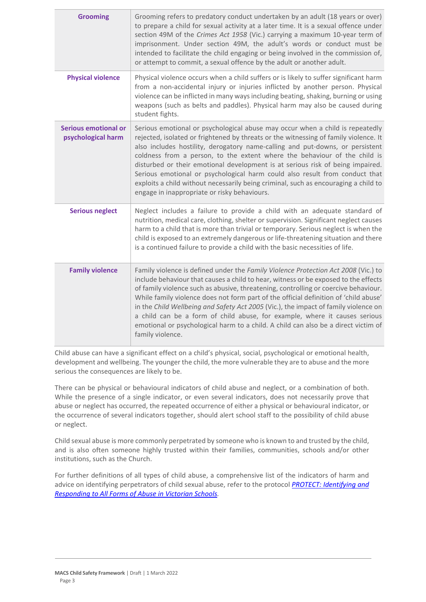| <b>Grooming</b>                                   | Grooming refers to predatory conduct undertaken by an adult (18 years or over)<br>to prepare a child for sexual activity at a later time. It is a sexual offence under<br>section 49M of the Crimes Act 1958 (Vic.) carrying a maximum 10-year term of<br>imprisonment. Under section 49M, the adult's words or conduct must be<br>intended to facilitate the child engaging or being involved in the commission of,<br>or attempt to commit, a sexual offence by the adult or another adult.                                                                                                                                               |
|---------------------------------------------------|---------------------------------------------------------------------------------------------------------------------------------------------------------------------------------------------------------------------------------------------------------------------------------------------------------------------------------------------------------------------------------------------------------------------------------------------------------------------------------------------------------------------------------------------------------------------------------------------------------------------------------------------|
| <b>Physical violence</b>                          | Physical violence occurs when a child suffers or is likely to suffer significant harm<br>from a non-accidental injury or injuries inflicted by another person. Physical<br>violence can be inflicted in many ways including beating, shaking, burning or using<br>weapons (such as belts and paddles). Physical harm may also be caused during<br>student fights.                                                                                                                                                                                                                                                                           |
| <b>Serious emotional or</b><br>psychological harm | Serious emotional or psychological abuse may occur when a child is repeatedly<br>rejected, isolated or frightened by threats or the witnessing of family violence. It<br>also includes hostility, derogatory name-calling and put-downs, or persistent<br>coldness from a person, to the extent where the behaviour of the child is<br>disturbed or their emotional development is at serious risk of being impaired.<br>Serious emotional or psychological harm could also result from conduct that<br>exploits a child without necessarily being criminal, such as encouraging a child to<br>engage in inappropriate or risky behaviours. |
| <b>Serious neglect</b>                            | Neglect includes a failure to provide a child with an adequate standard of<br>nutrition, medical care, clothing, shelter or supervision. Significant neglect causes<br>harm to a child that is more than trivial or temporary. Serious neglect is when the<br>child is exposed to an extremely dangerous or life-threatening situation and there<br>is a continued failure to provide a child with the basic necessities of life.                                                                                                                                                                                                           |
| <b>Family violence</b>                            | Family violence is defined under the Family Violence Protection Act 2008 (Vic.) to<br>include behaviour that causes a child to hear, witness or be exposed to the effects<br>of family violence such as abusive, threatening, controlling or coercive behaviour.<br>While family violence does not form part of the official definition of 'child abuse'<br>in the Child Wellbeing and Safety Act 2005 (Vic.), the impact of family violence on<br>a child can be a form of child abuse, for example, where it causes serious<br>emotional or psychological harm to a child. A child can also be a direct victim of<br>family violence.     |

Child abuse can have a significant effect on a child's physical, social, psychological or emotional health, development and wellbeing. The younger the child, the more vulnerable they are to abuse and the more serious the consequences are likely to be.

There can be physical or behavioural indicators of child abuse and neglect, or a combination of both. While the presence of a single indicator, or even several indicators, does not necessarily prove that abuse or neglect has occurred, the repeated occurrence of either a physical or behavioural indicator, or the occurrence of several indicators together, should alert school staff to the possibility of child abuse or neglect.

Child sexual abuse is more commonly perpetrated by someone who is known to and trusted by the child, and is also often someone highly trusted within their families, communities, schools and/or other institutions, such as the Church.

For further definitions of all types of child abuse, a comprehensive list of the indicators of harm and advice on identifying perpetrators of child sexual abuse, refer to the protocol *[PROTECT: Identifying and](https://www.education.vic.gov.au/Documents/about/programs/health/protect/ChildSafeStandard5_SchoolsGuide.pdf)  [Responding to All Forms of Abuse in Victorian Schools](https://www.education.vic.gov.au/Documents/about/programs/health/protect/ChildSafeStandard5_SchoolsGuide.pdf)[.](http://www.education.vic.gov.au/Documents/about/programs/health/protect/ChildSafeStandard5_SchoolsGuide.pdf)*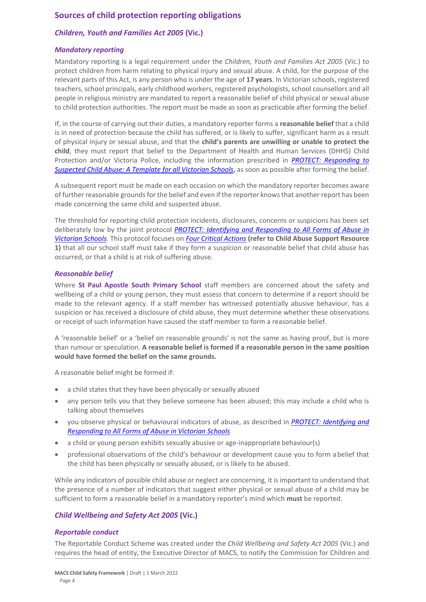# **Sources of child protection reporting obligations**

# *Children, Youth and Families Act 2005* **(Vic.)**

#### *Mandatory reporting*

Mandatory reporting is a legal requirement under the *Children, Youth and Families Act 2005* (Vic.) to protect children from harm relating to physical injury and sexual abuse. A child, for the purpose of the relevant parts of this Act, is any person who is under the age of **17 years**. In Victorian schools, registered teachers, school principals, early childhood workers, registered psychologists, school counsellors and all people in religious ministry are mandated to report a reasonable belief of child physical or sexual abuse to child protection authorities. The report must be made as soon as practicable after forming the belief.

If, in the course of carrying out their duties, a mandatory reporter forms a **reasonable belief** that a child is in need of protection because the child has suffered, or is likely to suffer, significant harm as a result of physical injury or sexual abuse, and that the **child's parents are unwilling or unable to protect the child**, they must report that belief to the Department of Health and Human Services (DHHS) Child Protection and/or Victoria Police, including the information prescribed in *[PROTECT: Responding to](http://www.education.vic.gov.au/Documents/about/programs/health/protect/PROTECT_Responding_TemplateSchools.pdf)  [Suspected Child Abuse: A Template for all Victorian Schools](http://www.education.vic.gov.au/Documents/about/programs/health/protect/PROTECT_Responding_TemplateSchools.pdf)*, as soon as possible after forming the belief.

A subsequent report must be made on each occasion on which the mandatory reporter becomes aware of further reasonable grounds for the belief and even if the reporter knows that another report has been made concerning the same child and suspected abuse.

The threshold for reporting child protection incidents, disclosures, concerns or suspicions has been set deliberately low by the joint protocol *[PROTECT: Identifying and Responding to All Forms of Abuse in](http://www.education.vic.gov.au/Documents/about/programs/health/protect/ChildSafeStandard5_SchoolsGuide.pdf)  [Victorian Schools](http://www.education.vic.gov.au/Documents/about/programs/health/protect/ChildSafeStandard5_SchoolsGuide.pdf)*[. T](http://www.education.vic.gov.au/Documents/about/programs/health/protect/ChildSafeStandard5_SchoolsGuide.pdf)his protocol focuses on *[Four Critical Actions](http://www.education.vic.gov.au/Documents/about/programs/health/protect/FourCriticalActions_ChildAbuse.pdf)* **(refer to Child Abuse Support Resource 1)** that all our school staff must take if they form a suspicion or reasonable belief that child abuse has occurred, or that a child is at risk of suffering abuse.

#### <span id="page-3-0"></span>*Reasonable belief*

Where **St Paul Apostle South Primary School** staff members are concerned about the safety and wellbeing of a child or young person, they must assess that concern to determine if a report should be made to the relevant agency. If a staff member has witnessed potentially abusive behaviour, has a suspicion or has received a disclosure of child abuse, they must determine whether these observations or receipt of such information have caused the staff member to form a reasonable belief.

A 'reasonable belief' or a 'belief on reasonable grounds' is not the same as having proof, but is more than rumour or speculation. **A reasonable belief is formed if a reasonable person in the same position would have formed the belief on the same grounds.**

A reasonable belief might be formed if:

- a child states that they have been physically or sexually abused
- any person tells you that they believe someone has been abused; this may include a child who is talking about themselves
- you observe physical or behavioural indicators of abuse, as described in *[PROTECT: Identifying and](http://www.education.vic.gov.au/Documents/about/programs/health/protect/ChildSafeStandard5_SchoolsGuide.pdf)  [Responding to All Forms of Abuse in Victorian Schools](http://www.education.vic.gov.au/Documents/about/programs/health/protect/ChildSafeStandard5_SchoolsGuide.pdf)*
- a child or young person exhibits sexually abusive or age-inappropriate behaviour(s)
- professional observations of the child's behaviour or development cause you to form abelief that the child has been physically or sexually abused, or is likely to be abused.

While any indicators of possible child abuse or neglect are concerning, it is important to understand that the presence of a number of indicators that suggest either physical or sexual abuse of a child may be sufficient to form a reasonable belief in a mandatory reporter's mind which **must** be reported.

# *Child Wellbeing and Safety Act 2005* **(Vic.)**

# *Reportable conduct*

The Reportable Conduct Scheme was created under the *Child Wellbeing and Safety Act 2005* (Vic.) and requires the head of entity, the Executive Director of MACS, to notify the Commission for Children and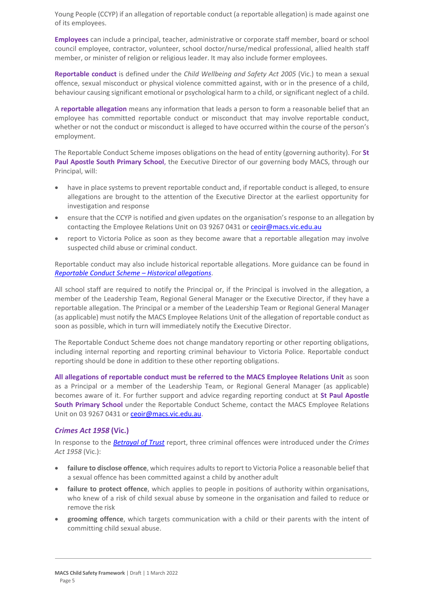Young People (CCYP) if an allegation of reportable conduct (a reportable allegation) is made against one of its employees.

**Employees** can include a principal, teacher, administrative or corporate staff member, board or school council employee, contractor, volunteer, school doctor/nurse/medical professional, allied health staff member, or minister of religion or religious leader. It may also include former employees.

**Reportable conduct** is defined under the *Child Wellbeing and Safety Act 2005* (Vic.) to mean a sexual offence, sexual misconduct or physical violence committed against, with or in the presence of a child, behaviour causing significant emotional or psychological harm to a child, or significant neglect of a child.

A **reportable allegation** means any information that leads a person to form a reasonable belief that an employee has committed reportable conduct or misconduct that may involve reportable conduct, whether or not the conduct or misconduct is alleged to have occurred within the course of the person's employment.

The Reportable Conduct Scheme imposes obligations on the head of entity (governing authority). For **St Paul Apostle South Primary School**, the Executive Director of our governing body MACS, through our Principal, will:

- have in place systems to prevent reportable conduct and, if reportable conduct is alleged, to ensure allegations are brought to the attention of the Executive Director at the earliest opportunity for investigation and response
- ensure that the CCYP is notified and given updates on the organisation's response to an allegation by contacting the Employee Relations Unit on 03 9267 0431 o[r ceoir@macs.vic.edu.au](mailto:ceoir@macs.vic.edu.au)
- report to Victoria Police as soon as they become aware that a reportable allegation may involve suspected child abuse or criminal conduct.

Reportable conduct may also include historical reportable allegations. More guidance can be found in *[Reportable Conduct Scheme](https://ccyp.vic.gov.au/assets/resources/RCSInfoSheetUpdates/Historical-Allegations-110718.pdf) – Historical allegations*.

All school staff are required to notify the Principal or, if the Principal is involved in the allegation, a member of the Leadership Team, Regional General Manager or the Executive Director, if they have a reportable allegation. The Principal or a member of the Leadership Team or Regional General Manager (as applicable) must notify the MACS Employee Relations Unit of the allegation of reportable conduct as soon as possible, which in turn will immediately notify the Executive Director.

The Reportable Conduct Scheme does not change mandatory reporting or other reporting obligations, including internal reporting and reporting criminal behaviour to Victoria Police. Reportable conduct reporting should be done in addition to these other reporting obligations.

**All allegations of reportable conduct must be referred to the MACS Employee Relations Unit** as soon as a Principal or a member of the Leadership Team, or Regional General Manager (as applicable) becomes aware of it. For further support and advice regarding reporting conduct at **St Paul Apostle South Primary School** under the Reportable Conduct Scheme, contact the MACS Employee Relations Unit on 03 9267 0431 o[r ceoir@macs.vic.edu.au.](mailto:ceoir@macs.vic.edu.au)

# *Crimes Act 1958* **(Vic.)**

In response to the *[Betrayal of Trust](http://www.parliament.vic.gov.au/file_uploads/Inquiry_into_Handling_of_Abuse_Volume_2_FINAL_web_y78t3Wpb.pdf)* report, three criminal offences were introduced under the *Crimes Act 1958* (Vic.):

- **[failure to disclose offence](http://www.justice.vic.gov.au/home/safer%2Bcommunities/protecting%2Bchildren%2Band%2Bfamilies/failure%2Bto%2Bdisclose%2Boffence)**, which requires adults to report to Victoria Police a reasonable belief that a sexual offence has been committed against a child by another adult
- **[failure to protect offence](http://www.justice.vic.gov.au/home/safer%2Bcommunities/protecting%2Bchildren%2Band%2Bfamilies/failure%2Bto%2Bprotect%2Boffence)**, which applies to people in positions of authority within organisations, who knew of a risk of child sexual abuse by someone in the organisation and failed to reduce or remove the risk
- **[grooming offence](http://www.justice.vic.gov.au/home/safer%2Bcommunities/protecting%2Bchildren%2Band%2Bfamilies/grooming%2Boffence)**, which targets communication with a child or their parents with the intent of committing child sexual abuse.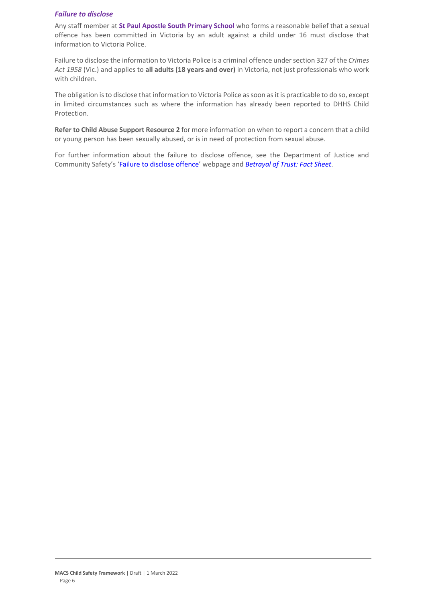#### <span id="page-5-0"></span>*Failure to disclose*

Any staff member at **St Paul Apostle South Primary School** who forms a reasonable belief that a sexual offence has been committed in Victoria by an adult against a child under 16 must disclose that information to Victoria Police.

Failure to disclose the information to Victoria Police is a criminal offence under section 327 of the *Crimes Act 1958* (Vic.) and applies to **all adults (18 years and over)** in Victoria, not just professionals who work with children.

The obligation is to disclose that information to Victoria Police as soon as it is practicable to do so, except in limited circumstances such as where the information has already been reported to DHHS Child Protection.

**Refer to Child Abuse Support Resource 2** for more information on when to report a concern that a child or young person has been sexually abused, or is in need of protection from sexual abuse.

For further information about the failure to disclose offence, see the Department of Justice and Community Safety's '[Failure to disclose offence](https://www.justice.vic.gov.au/safer-communities/protecting-children-and-families/failure-to-disclose-offence)' webpage and *[Betrayal of Trust: Fact Sheet](https://www.justice.vic.gov.au/sites/default/files/embridge_cache/emshare/original/public/2020/06/c5/7f42d28f3/betrayal_of_trust-organisational_duty_fact_sheet_2018%20.doc)*.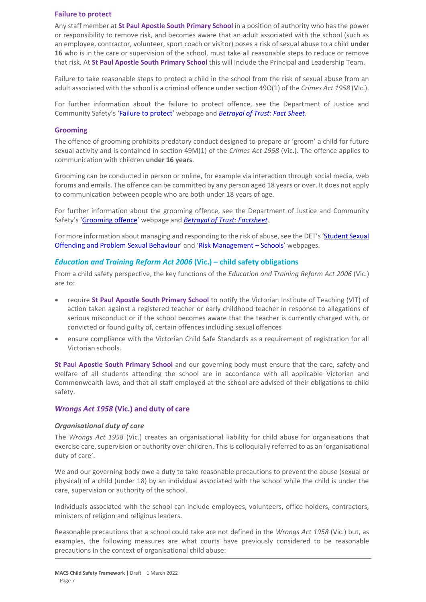#### **Failure to protect**

Any staff member at **St Paul Apostle South Primary School** in a position of authority who has the power or responsibility to remove risk, and becomes aware that an adult associated with the school (such as an employee, contractor, volunteer, sport coach or visitor) poses a risk of sexual abuse to a child **under 16** who is in the care or supervision of the school, must take all reasonable steps to reduce or remove that risk. At **St Paul Apostle South Primary School** this will include the Principal and Leadership Team.

Failure to take reasonable steps to protect a child in the school from the risk of sexual abuse from an adult associated with the school is a criminal offence under section 49O(1) of the *Crimes Act 1958* (Vic.).

For further information about the failure to protect offence, see the Department of Justice and Community Safety's '[Failure to protect](https://www.justice.vic.gov.au/safer-communities/protecting-children-and-families/failure-to-protect-a-new-criminal-offence-to)' webpage and *[Betrayal of Trust: Fact Sheet](https://www.justice.vic.gov.au/sites/default/files/embridge_cache/emshare/original/public/2020/06/e0/4460c5147/failure_to_protect_betrayal_of_trust_factsheet_2017.pdf)*.

#### **Grooming**

The offence of grooming prohibits predatory conduct designed to prepare or 'groom' a child for future sexual activity and is contained in section 49M(1) of the *Crimes Act 1958* (Vic.). The offence applies to communication with children **under 16 years**.

Grooming can be conducted in person or online, for example via interaction through social media, web forums and emails. The offence can be committed by any person aged 18 years or over. It does not apply to communication between people who are both under 18 years of age.

For further information about the grooming offence, see the Department of Justice and Community Safety's '[Grooming offence](https://www.justice.vic.gov.au/safer-communities/protecting-children-and-families/grooming-offence)' webpage and *[Betrayal of Trust: Factsheet](https://www.justice.vic.gov.au/sites/default/files/embridge_cache/emshare/original/public/2020/06/e6/ea73d4b66/grooming_betrayal_of_trust_factsheet_2017.pdf)*.

For more information about managing and responding to the risk of abuse, see the DET's 'Student Sexual [Offending and Problem Sexual Behaviour](https://www2.education.vic.gov.au/pal/student-sexual-behaviours/policy)' and '[Risk Management](https://www2.education.vic.gov.au/pal/risk-management-schools/policy) – Schools' webpages.

#### *Education and Training Reform Act 2006* **(Vic.) – child safety obligations**

From a child safety perspective, the key functions of the *Education and Training Reform Act 2006* (Vic.) are to:

- require **St Paul Apostle South Primary School** to notify the Victorian Institute of Teaching (VIT) of action taken against a registered teacher or early childhood teacher in response to allegations of serious misconduct or if the school becomes aware that the teacher is currently charged with, or convicted or found guilty of, certain offences including sexual offences
- ensure compliance with the Victorian Child Safe Standards as a requirement of registration for all Victorian schools.

**St Paul Apostle South Primary School** and our governing body must ensure that the care, safety and welfare of all students attending the school are in accordance with all applicable Victorian and Commonwealth laws, and that all staff employed at the school are advised of their obligations to child safety.

#### *Wrongs Act 1958* **(Vic.) and duty of care**

#### *Organisational duty of care*

The *Wrongs Act 1958* (Vic.) creates an organisational liability for child abuse for organisations that exercise care, supervision or authority over children. This is colloquially referred to as an 'organisational duty of care'.

We and our governing body owe a duty to take reasonable precautions to prevent the abuse (sexual or physical) of a child (under 18) by an individual associated with the school while the child is under the care, supervision or authority of the school.

Individuals associated with the school can include employees, volunteers, office holders, contractors, ministers of religion and religious leaders.

Reasonable precautions that a school could take are not defined in the *Wrongs Act 1958* (Vic.) but, as examples, the following measures are what courts have previously considered to be reasonable precautions in the context of organisational child abuse: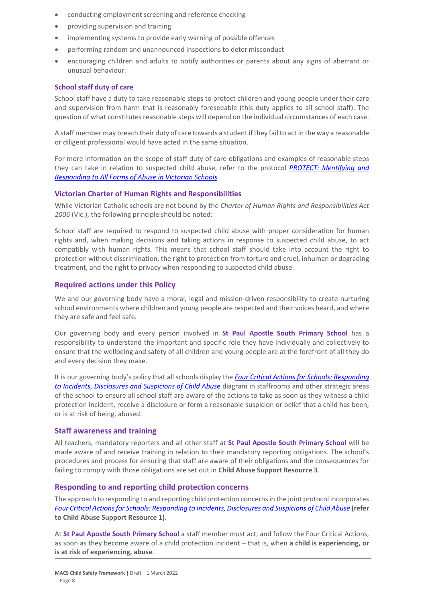- conducting employment screening and reference checking
- providing supervision and training
- implementing systems to provide early warning of possible offences
- performing random and unannounced inspections to deter misconduct
- encouraging children and adults to notify authorities or parents about any signs of aberrant or unusual behaviour.

#### **School staff duty of care**

School staff have a duty to take reasonable steps to protect children and young people under their care and supervision from harm that is reasonably foreseeable (this duty applies to all school staff). The question of what constitutes reasonable steps will depend on the individual circumstances of each case.

A staff member may breach their duty of care towards a student if they fail to act in the way a reasonable or diligent professional would have acted in the same situation.

For more information on the scope of staff duty of care obligations and examples of reasonable steps they can take in relation to suspected child abuse, refer to the protocol *[PROTECT: Identifying and](http://www.education.vic.gov.au/Documents/about/programs/health/protect/ChildSafeStandard5_SchoolsGuide.pdf)  [Responding to All Forms of Abuse in Victorian Schools.](http://www.education.vic.gov.au/Documents/about/programs/health/protect/ChildSafeStandard5_SchoolsGuide.pdf)*

# **Victorian Charter of Human Rights and Responsibilities**

While Victorian Catholic schools are not bound by the *Charter of Human Rights and Responsibilities Act 2006* (Vic.), the following principle should be noted:

School staff are required to respond to suspected child abuse with proper consideration for human rights and, when making decisions and taking actions in response to suspected child abuse, to act compatibly with human rights. This means that school staff should take into account the right to protection without discrimination, the right to protection from torture and cruel, inhuman or degrading treatment, and the right to privacy when responding to suspected child abuse.

#### **Required actions under this Policy**

We and our governing body have a moral, legal and mission-driven responsibility to create nurturing school environments where children and young people are respected and their voices heard, and where they are safe and feel safe.

Our governing body and every person involved in **St Paul Apostle South Primary School** has a responsibility to understand the important and specific role they have individually and collectively to ensure that the wellbeing and safety of all children and young people are at the forefront of all they do and every decision they make.

It is our governing body's policy that all schools display the *[Four Critical Actions for Schools: Responding](http://www.education.vic.gov.au/Documents/about/programs/health/protect/FourCriticalActions_ChildAbuse.pdf)  [to Incidents, Disclosures and Suspicions of Child Abuse](http://www.education.vic.gov.au/Documents/about/programs/health/protect/FourCriticalActions_ChildAbuse.pdf)* diagram in staffrooms and other strategic areas of the school to ensure all school staff are aware of the actions to take as soon as they witness a child protection incident, receive a disclosure or form a reasonable suspicion or belief that a child has been, or is at risk of being, abused.

#### **Staff awareness and training**

All teachers, mandatory reporters and all other staff at **St Paul Apostle South Primary School** will be made aware of and receive training in relation to their mandatory reporting obligations. The school's procedures and process for ensuring that staff are aware of their obligations and the consequences for failing to comply with those obligations are set out in **Child Abuse Support Resource 3**.

# **Responding to and reporting child protection concerns**

The approach to responding to and reporting child protection concerns in the joint protocol incorporates *[Four Critical Actions for Schools: Responding to Incidents, Disclosures and Suspicions of Child Abuse](http://www.education.vic.gov.au/Documents/about/programs/health/protect/FourCriticalActions_ChildAbuse.pdf)* **[\(refer](http://www.education.vic.gov.au/Documents/about/programs/health/protect/FourCriticalActions_ChildAbuse.pdf)  [to Child Abuse Support Resource 1\)](http://www.education.vic.gov.au/Documents/about/programs/health/protect/FourCriticalActions_ChildAbuse.pdf)**[.](http://www.education.vic.gov.au/Documents/about/programs/health/protect/FourCriticalActions_ChildAbuse.pdf)

At **St Paul Apostle South Primary School** a staff member must act, and follow the Four Critical Actions, as soon as they become aware of a child protection incident – that is, when **a child is experiencing, or is at risk of experiencing, abuse**.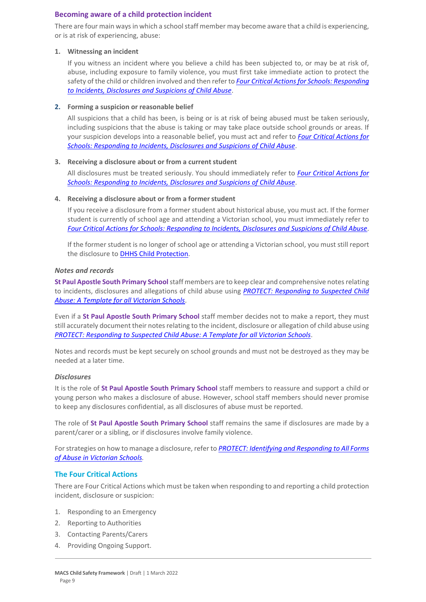# **Becoming aware of a child protection incident**

There are four main ways in which a school staff member may become aware that a child is experiencing, or is at risk of experiencing, abuse:

#### **1. Witnessing an incident**

If you witness an incident where you believe a child has been subjected to, or may be at risk of, abuse, including exposure to family violence, you must first take immediate action to protect the safety of the child or children involved and then refer to *[Four Critical Actions for Schools: Responding](http://www.education.vic.gov.au/Documents/about/programs/health/protect/FourCriticalActions_ChildAbuse.pdf)  [to Incidents, Disclosures and Suspicions of Child Abuse](http://www.education.vic.gov.au/Documents/about/programs/health/protect/FourCriticalActions_ChildAbuse.pdf)*.

# **2. Forming a suspicion or reasonable belief**

All suspicions that a child has been, is being or is at risk of being abused must be taken seriously, including suspicions that the abuse is taking or may take place outside school grounds or areas. If your suspicion develops into a reasonable belief, you must act and refer to *[Four Critical Actions for](http://www.education.vic.gov.au/Documents/about/programs/health/protect/FourCriticalActions_ChildAbuse.pdf)  [Schools: Responding to Incidents, Disclosures and Suspicions of Child Abuse](http://www.education.vic.gov.au/Documents/about/programs/health/protect/FourCriticalActions_ChildAbuse.pdf)*.

# **3. Receiving a disclosure about or from a current student**

All disclosures must be treated seriously. You should immediately refer to *[Four Critical Actions for](http://www.education.vic.gov.au/Documents/about/programs/health/protect/FourCriticalActions_ChildAbuse.pdf)  [Schools: Responding to Incidents, Disclosures and Suspicions of Child Abuse](http://www.education.vic.gov.au/Documents/about/programs/health/protect/FourCriticalActions_ChildAbuse.pdf)*[.](http://www.education.vic.gov.au/Documents/about/programs/health/protect/FourCriticalActions_ChildAbuse.pdf)

#### **4. Receiving a disclosure about or from a formerstudent**

If you receive a disclosure from a former student about historical abuse, you must act. If the former student is currently of school age and attending a Victorian school, you must immediately refer to *[Four Critical Actions for Schools: Responding to Incidents, Disclosures and Suspicions of Child Abuse](http://www.education.vic.gov.au/Documents/about/programs/health/protect/FourCriticalActions_ChildAbuse.pdf)*[.](http://www.education.vic.gov.au/Documents/about/programs/health/protect/FourCriticalActions_ChildAbuse.pdf)

If the former student is no longer of school age or attending a Victorian school, you must still report the disclosure to [DHHS Child Protection](https://www.education.vic.gov.au/about/contact/Pages/reportingabuse.aspx)[.](http://www.education.vic.gov.au/about/contact/Pages/reportingabuse.aspx?Redirect=1)

#### *Notes and records*

**St Paul Apostle South Primary School**staff members are to keep clear and comprehensive notes relating to incidents, disclosures and allegations of child abuse using *[PROTECT: Responding to Suspected Child](http://www.education.vic.gov.au/Documents/about/programs/health/protect/PROTECT_Responding_TemplateSchools.pdf)  [Abuse: A Template for all Victorian Schools](http://www.education.vic.gov.au/Documents/about/programs/health/protect/PROTECT_Responding_TemplateSchools.pdf)*.

Even if a **St Paul Apostle South Primary School** staff member decides not to make a report, they must still accurately document their notes relating to the incident, disclosure or allegation of child abuse using *[PROTECT: Responding to Suspected Child Abuse: A Template for all Victorian Schools](http://www.education.vic.gov.au/Documents/about/programs/health/protect/PROTECT_Responding_TemplateSchools.pdf)*.

Notes and records must be kept securely on school grounds and must not be destroyed as they may be needed at a later time.

#### *Disclosures*

It is the role of **St Paul Apostle South Primary School** staff members to reassure and support a child or young person who makes a disclosure of abuse. However, school staff members should never promise to keep any disclosures confidential, as all disclosures of abuse must be reported.

The role of **St Paul Apostle South Primary School** staff remains the same if disclosures are made by a parent/carer or a sibling, or if disclosures involve family violence.

For strategies on how to manage a disclosure, refer to *[PROTECT: Identifying and Responding to All Forms](http://www.education.vic.gov.au/Documents/about/programs/health/protect/ChildSafeStandard5_SchoolsGuide.pdf)  [of Abuse in Victorian Schools.](http://www.education.vic.gov.au/Documents/about/programs/health/protect/ChildSafeStandard5_SchoolsGuide.pdf)*

# **The Four Critical Actions**

There are Four Critical Actions which must be taken when responding to and reporting a child protection incident, disclosure or suspicion:

- 1. Responding to an Emergency
- 2. Reporting to Authorities
- 3. Contacting Parents/Carers
- 4. Providing Ongoing Support.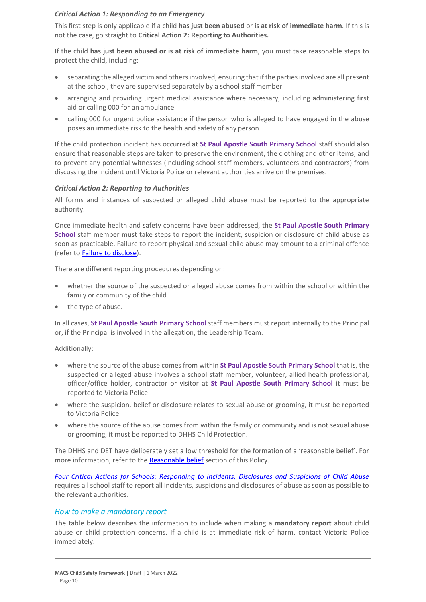# *Critical Action 1: Responding to an Emergency*

This first step is only applicable if a child **has just been abused** or **is at risk of immediate harm**. If this is not the case, go straight to **Critical Action 2: Reporting to Authorities.**

If the child **has just been abused or is at risk of immediate harm**, you must take reasonable steps to protect the child, including:

- separating the alleged victim and others involved, ensuring that if the parties involved are all present at the school, they are supervised separately by a school staffmember
- arranging and providing urgent medical assistance where necessary, including administering first aid or calling 000 for an ambulance
- calling 000 for urgent police assistance if the person who is alleged to have engaged in the abuse poses an immediate risk to the health and safety of any person.

If the child protection incident has occurred at **St Paul Apostle South Primary School** staff should also ensure that reasonable steps are taken to preserve the environment, the clothing and other items, and to prevent any potential witnesses (including school staff members, volunteers and contractors) from discussing the incident until Victoria Police or relevant authorities arrive on the premises.

# *Critical Action 2: Reporting to Authorities*

All forms and instances of suspected or alleged child abuse must be reported to the appropriate authority.

Once immediate health and safety concerns have been addressed, the **St Paul Apostle South Primary School** staff member must take steps to report the incident, suspicion or disclosure of child abuse as soon as practicable. Failure to report physical and sexual child abuse may amount to a criminal offence (refer t[o Failure to disclose\)](#page-5-0).

There are different reporting procedures depending on:

- whether the source of the suspected or alleged abuse comes from within the school or within the family or community of the child
- the type of abuse.

In all cases, **St Paul Apostle South Primary School** staff members must report internally to the Principal or, if the Principal is involved in the allegation, the Leadership Team.

# Additionally:

- where the source of the abuse comes from within **St Paul Apostle South Primary School** that is, the suspected or alleged abuse involves a school staff member, volunteer, allied health professional, officer/office holder, contractor or visitor at **St Paul Apostle South Primary School** it must be reported to Victoria Police
- where the suspicion, belief or disclosure relates to sexual abuse or grooming, it must be reported to Victoria Police
- where the source of the abuse comes from within the family or community and is not sexual abuse or grooming, it must be reported to DHHS Child Protection.

The DHHS and DET have deliberately set a low threshold for the formation of a 'reasonable belief'. For more information, refer to the [Reasonable belief](#page-3-0) section of this Policy.

*[Four Critical Actions for Schools: Responding to Incidents, Disclosures and Suspicions of Child Abuse](http://www.education.vic.gov.au/Documents/about/programs/health/protect/FourCriticalActions_ChildAbuse.pdf)* requires all school staff to report all incidents, suspicions and disclosures of abuse as soon as possible to the relevant authorities.

# *How to make a mandatory report*

The table below describes the information to include when making a **mandatory report** about child abuse or child protection concerns. If a child is at immediate risk of harm, contact Victoria Police immediately.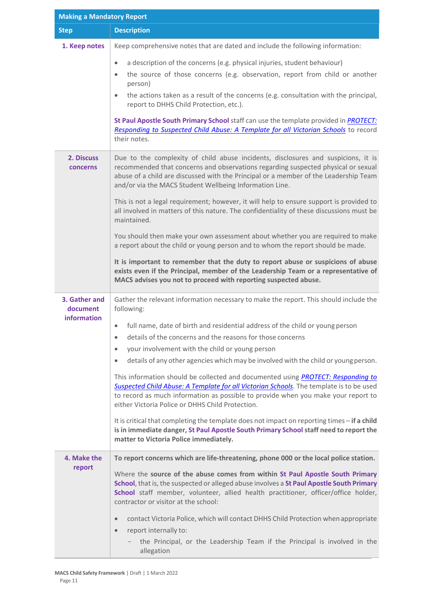| <b>Making a Mandatory Report</b> |                                                                                                                                                                                                                                                                                                                                                |  |  |
|----------------------------------|------------------------------------------------------------------------------------------------------------------------------------------------------------------------------------------------------------------------------------------------------------------------------------------------------------------------------------------------|--|--|
| <b>Step</b>                      | <b>Description</b>                                                                                                                                                                                                                                                                                                                             |  |  |
| 1. Keep notes                    | Keep comprehensive notes that are dated and include the following information:                                                                                                                                                                                                                                                                 |  |  |
|                                  | a description of the concerns (e.g. physical injuries, student behaviour)<br>$\bullet$<br>the source of those concerns (e.g. observation, report from child or another<br>$\bullet$<br>person)<br>the actions taken as a result of the concerns (e.g. consultation with the principal,<br>$\bullet$<br>report to DHHS Child Protection, etc.). |  |  |
|                                  | St Paul Apostle South Primary School staff can use the template provided in PROTECT:<br>Responding to Suspected Child Abuse: A Template for all Victorian Schools to record<br>their notes.                                                                                                                                                    |  |  |
| 2. Discuss<br><b>concerns</b>    | Due to the complexity of child abuse incidents, disclosures and suspicions, it is<br>recommended that concerns and observations regarding suspected physical or sexual<br>abuse of a child are discussed with the Principal or a member of the Leadership Team<br>and/or via the MACS Student Wellbeing Information Line.                      |  |  |
|                                  | This is not a legal requirement; however, it will help to ensure support is provided to<br>all involved in matters of this nature. The confidentiality of these discussions must be<br>maintained.                                                                                                                                             |  |  |
|                                  | You should then make your own assessment about whether you are required to make<br>a report about the child or young person and to whom the report should be made.                                                                                                                                                                             |  |  |
|                                  | It is important to remember that the duty to report abuse or suspicions of abuse<br>exists even if the Principal, member of the Leadership Team or a representative of<br>MACS advises you not to proceed with reporting suspected abuse.                                                                                                      |  |  |
| 3. Gather and<br>document        | Gather the relevant information necessary to make the report. This should include the<br>following:                                                                                                                                                                                                                                            |  |  |
| <b>information</b>               | full name, date of birth and residential address of the child or young person<br>$\bullet$<br>details of the concerns and the reasons for those concerns<br>$\bullet$<br>your involvement with the child or young person<br>$\bullet$<br>details of any other agencies which may be involved with the child or young person.<br>$\bullet$      |  |  |
|                                  | This information should be collected and documented using <b>PROTECT: Responding to</b><br>Suspected Child Abuse: A Template for all Victorian Schools. The template is to be used<br>to record as much information as possible to provide when you make your report to<br>either Victoria Police or DHHS Child Protection.                    |  |  |
|                                  | It is critical that completing the template does not impact on reporting times - if a child<br>is in immediate danger, St Paul Apostle South Primary School staff need to report the<br>matter to Victoria Police immediately.                                                                                                                 |  |  |
| 4. Make the                      | To report concerns which are life-threatening, phone 000 or the local police station.                                                                                                                                                                                                                                                          |  |  |
| report                           | Where the source of the abuse comes from within St Paul Apostle South Primary<br>School, that is, the suspected or alleged abuse involves a St Paul Apostle South Primary<br>School staff member, volunteer, allied health practitioner, officer/office holder,<br>contractor or visitor at the school:                                        |  |  |
|                                  | contact Victoria Police, which will contact DHHS Child Protection when appropriate<br>$\bullet$<br>report internally to:<br>$\bullet$                                                                                                                                                                                                          |  |  |
|                                  | the Principal, or the Leadership Team if the Principal is involved in the<br>allegation                                                                                                                                                                                                                                                        |  |  |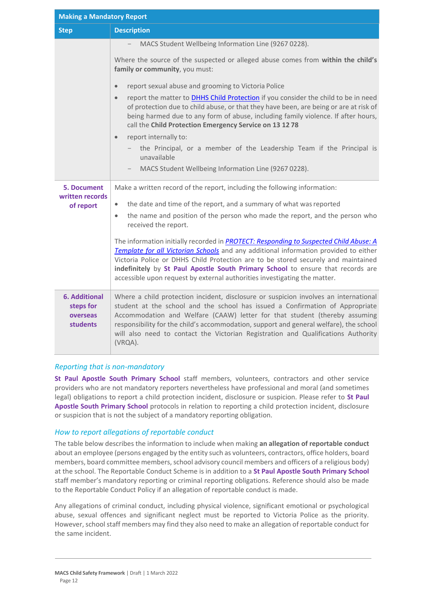| <b>Making a Mandatory Report</b>                                 |                                                                                                                                                                                                                                                                                                                                                                                                                                                                                                                                                                                                                                                                                                                                                                                         |  |
|------------------------------------------------------------------|-----------------------------------------------------------------------------------------------------------------------------------------------------------------------------------------------------------------------------------------------------------------------------------------------------------------------------------------------------------------------------------------------------------------------------------------------------------------------------------------------------------------------------------------------------------------------------------------------------------------------------------------------------------------------------------------------------------------------------------------------------------------------------------------|--|
| <b>Step</b>                                                      | <b>Description</b>                                                                                                                                                                                                                                                                                                                                                                                                                                                                                                                                                                                                                                                                                                                                                                      |  |
|                                                                  | MACS Student Wellbeing Information Line (9267 0228).<br>Where the source of the suspected or alleged abuse comes from within the child's<br>family or community, you must:<br>report sexual abuse and grooming to Victoria Police<br>$\bullet$<br>report the matter to <b>DHHS Child Protection</b> if you consider the child to be in need<br>$\bullet$<br>of protection due to child abuse, or that they have been, are being or are at risk of<br>being harmed due to any form of abuse, including family violence. If after hours,<br>call the Child Protection Emergency Service on 13 12 78<br>report internally to:<br>$\bullet$<br>the Principal, or a member of the Leadership Team if the Principal is<br>unavailable<br>MACS Student Wellbeing Information Line (9267 0228). |  |
| <b>5. Document</b><br>written records<br>of report               | Make a written record of the report, including the following information:<br>the date and time of the report, and a summary of what was reported<br>$\bullet$<br>the name and position of the person who made the report, and the person who<br>$\bullet$<br>received the report.<br>The information initially recorded in PROTECT: Responding to Suspected Child Abuse: A<br>Template for all Victorian Schools and any additional information provided to either<br>Victoria Police or DHHS Child Protection are to be stored securely and maintained<br>indefinitely by St Paul Apostle South Primary School to ensure that records are<br>accessible upon request by external authorities investigating the matter.                                                                 |  |
| <b>6. Additional</b><br>steps for<br>overseas<br><b>students</b> | Where a child protection incident, disclosure or suspicion involves an international<br>student at the school and the school has issued a Confirmation of Appropriate<br>Accommodation and Welfare (CAAW) letter for that student (thereby assuming<br>responsibility for the child's accommodation, support and general welfare), the school<br>will also need to contact the Victorian Registration and Qualifications Authority<br>(VRQA).                                                                                                                                                                                                                                                                                                                                           |  |

# *Reporting that is non-mandatory*

**St Paul Apostle South Primary School** staff members, volunteers, contractors and other service providers who are not mandatory reporters nevertheless have professional and moral (and sometimes legal) obligations to report a child protection incident, disclosure or suspicion. Please refer to **St Paul Apostle South Primary School** protocols in relation to reporting a child protection incident, disclosure or suspicion that is not the subject of a mandatory reporting obligation.

# *How to report allegations of reportable conduct*

The table below describes the information to include when making **an allegation of reportable conduct**  about an employee (persons engaged by the entity such as volunteers, contractors, office holders, board members, board committee members, school advisory council members and officers of a religious body) at the school. The Reportable Conduct Scheme is in addition to a **St Paul Apostle South Primary School** staff member's mandatory reporting or criminal reporting obligations. Reference should also be made to the Reportable Conduct Policy if an allegation of reportable conduct is made.

Any allegations of criminal conduct, including physical violence, significant emotional or psychological abuse, sexual offences and significant neglect must be reported to Victoria Police as the priority. However, school staff members may find they also need to make an allegation of reportable conduct for the same incident.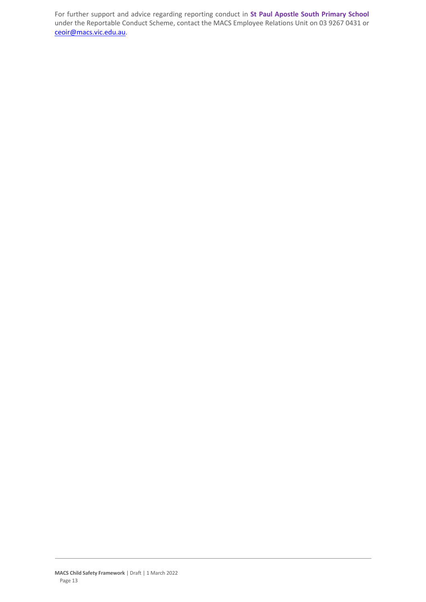For further support and advice regarding reporting conduct in **St Paul Apostle South Primary School** under the Reportable Conduct Scheme, contact the MACS Employee Relations Unit on 03 9267 0431 or [ceoir@macs.vic.edu.au.](mailto:ceoir@macs.vic.edu.au.)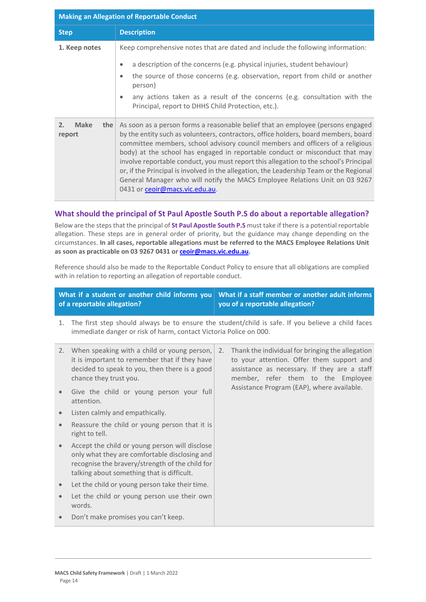| <b>Making an Allegation of Reportable Conduct</b> |                                                                                                                                                                                                                                                                                                                                                                                                                                                                                                                                                                                                                                               |  |
|---------------------------------------------------|-----------------------------------------------------------------------------------------------------------------------------------------------------------------------------------------------------------------------------------------------------------------------------------------------------------------------------------------------------------------------------------------------------------------------------------------------------------------------------------------------------------------------------------------------------------------------------------------------------------------------------------------------|--|
| <b>Step</b>                                       | <b>Description</b>                                                                                                                                                                                                                                                                                                                                                                                                                                                                                                                                                                                                                            |  |
| 1. Keep notes                                     | Keep comprehensive notes that are dated and include the following information:<br>a description of the concerns (e.g. physical injuries, student behaviour)<br>$\bullet$<br>the source of those concerns (e.g. observation, report from child or another<br>$\bullet$<br>person)<br>any actions taken as a result of the concerns (e.g. consultation with the<br>$\bullet$<br>Principal, report to DHHS Child Protection, etc.).                                                                                                                                                                                                              |  |
| <b>Make</b><br>2.<br>the<br>report                | As soon as a person forms a reasonable belief that an employee (persons engaged<br>by the entity such as volunteers, contractors, office holders, board members, board<br>committee members, school advisory council members and officers of a religious<br>body) at the school has engaged in reportable conduct or misconduct that may<br>involve reportable conduct, you must report this allegation to the school's Principal<br>or, if the Principal is involved in the allegation, the Leadership Team or the Regional<br>General Manager who will notify the MACS Employee Relations Unit on 03 9267<br>0431 or ceoir@macs.vic.edu.au. |  |

# **What should the principal of St Paul Apostle South P.S do about a reportable allegation?**

Below are the steps that the principal of **St Paul Apostle South P.S** must take if there is a potential reportable allegation. These steps are in general order of priority, but the guidance may change depending on the circumstances. **In all cases, reportable allegations must be referred to the MACS Employee Relations Unit as soon as practicable on 03 9267 0431 o[r ceoir@macs.vic.edu.au.](mailto:ceoir@macs.vic.edu.au)**

Reference should also be made to the Reportable Conduct Policy to ensure that all obligations are complied with in relation to reporting an allegation of reportable conduct.

|           | What if a student or another child informs you<br>of a reportable allegation?                                                                                                                    |    | What if a staff member or another adult informs<br>you of a reportable allegation?                                                                                                  |
|-----------|--------------------------------------------------------------------------------------------------------------------------------------------------------------------------------------------------|----|-------------------------------------------------------------------------------------------------------------------------------------------------------------------------------------|
| 1.        | The first step should always be to ensure the student/child is safe. If you believe a child faces<br>immediate danger or risk of harm, contact Victoria Police on 000.                           |    |                                                                                                                                                                                     |
|           | 2. When speaking with a child or young person,<br>it is important to remember that if they have<br>decided to speak to you, then there is a good<br>chance they trust you.                       | 2. | Thank the individual for bringing the allegation<br>to your attention. Offer them support and<br>assistance as necessary. If they are a staff<br>member, refer them to the Employee |
|           | Give the child or young person your full<br>attention.                                                                                                                                           |    | Assistance Program (EAP), where available.                                                                                                                                          |
|           | Listen calmly and empathically.                                                                                                                                                                  |    |                                                                                                                                                                                     |
| $\bullet$ | Reassure the child or young person that it is<br>right to tell.                                                                                                                                  |    |                                                                                                                                                                                     |
|           | Accept the child or young person will disclose<br>only what they are comfortable disclosing and<br>recognise the bravery/strength of the child for<br>talking about something that is difficult. |    |                                                                                                                                                                                     |
|           | Let the child or young person take their time.                                                                                                                                                   |    |                                                                                                                                                                                     |
|           | Let the child or young person use their own<br>words.                                                                                                                                            |    |                                                                                                                                                                                     |
|           | Don't make promises you can't keep.                                                                                                                                                              |    |                                                                                                                                                                                     |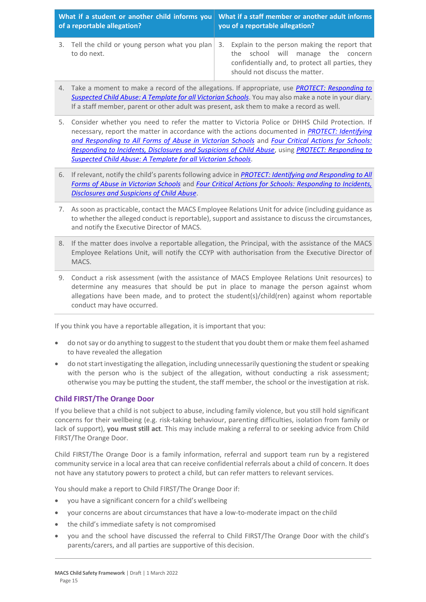| of a reportable allegation? |             | What if a student or another child informs you What if a staff member or another adult informs<br>you of a reportable allegation? |                                                                                                                                                                                                                             |  |
|-----------------------------|-------------|-----------------------------------------------------------------------------------------------------------------------------------|-----------------------------------------------------------------------------------------------------------------------------------------------------------------------------------------------------------------------------|--|
|                             | to do next. |                                                                                                                                   | 3. Tell the child or young person what you plan 3. Explain to the person making the report that<br>the school will manage the concern<br>confidentially and, to protect all parties, they<br>should not discuss the matter. |  |

- 4. Take a moment to make a record of the allegations. If appropriate, use *[PROTECT: Responding to](http://www.education.vic.gov.au/Documents/about/programs/health/protect/PROTECT_Responding_TemplateSchools.pdf)  [Suspected Child Abuse: A Template for all Victorian Schools](http://www.education.vic.gov.au/Documents/about/programs/health/protect/PROTECT_Responding_TemplateSchools.pdf)*. You may also make a note in your diary. If a staff member, parent or other adult was present, ask them to make a record as well.
- 5. Consider whether you need to refer the matter to Victoria Police or DHHS Child Protection. If necessary, report the matter in accordance with the actions documented in *[PROTECT: Identifying](http://www.education.vic.gov.au/Documents/about/programs/health/protect/ChildSafeStandard5_SchoolsGuide.pdf)  [and Responding to All Forms of Abuse in Victorian Schools](http://www.education.vic.gov.au/Documents/about/programs/health/protect/ChildSafeStandard5_SchoolsGuide.pdf)* and *[Four Critical Actions for Schools:](http://www.education.vic.gov.au/Documents/about/programs/health/protect/FourCriticalActions_ChildAbuse.pdf)  [Responding to Incidents, Disclosures and Suspicions of Child Abuse](http://www.education.vic.gov.au/Documents/about/programs/health/protect/FourCriticalActions_ChildAbuse.pdf)*, using *[PROTECT: Responding to](http://www.education.vic.gov.au/Documents/about/programs/health/protect/PROTECT_Responding_TemplateSchools.pdf)  [Suspected Child Abuse: A Template for all Victorian Schools](http://www.education.vic.gov.au/Documents/about/programs/health/protect/PROTECT_Responding_TemplateSchools.pdf)*.
- 6. If relevant, notify the child's parents following advice in *[PROTECT: Identifying and Responding to All](http://www.education.vic.gov.au/Documents/about/programs/health/protect/ChildSafeStandard5_SchoolsGuide.pdf)  [Forms of Abuse in Victorian Schools](http://www.education.vic.gov.au/Documents/about/programs/health/protect/ChildSafeStandard5_SchoolsGuide.pdf)* and *[Four Critical Actions for Schools: Responding to Incidents,](http://www.education.vic.gov.au/Documents/about/programs/health/protect/FourCriticalActions_ChildAbuse.pdf)  [Disclosures and Suspicions of Child Abuse](http://www.education.vic.gov.au/Documents/about/programs/health/protect/FourCriticalActions_ChildAbuse.pdf)*.
- 7. As soon as practicable, contact the MACS Employee Relations Unit for advice (including guidance as to whether the alleged conduct is reportable), support and assistance to discuss the circumstances, and notify the Executive Director of MACS.
- 8. If the matter does involve a reportable allegation, the Principal, with the assistance of the MACS Employee Relations Unit, will notify the CCYP with authorisation from the Executive Director of MACS.
- 9. Conduct a risk assessment (with the assistance of MACS Employee Relations Unit resources) to determine any measures that should be put in place to manage the person against whom allegations have been made, and to protect the student(s)/child(ren) against whom reportable conduct may have occurred.

If you think you have a reportable allegation, it is important that you:

- do not say or do anything to suggest to the student that you doubt them or make them feel ashamed to have revealed the allegation
- do not start investigating the allegation, including unnecessarily questioning the student or speaking with the person who is the subject of the allegation, without conducting a risk assessment; otherwise you may be putting the student, the staff member, the school or the investigation at risk.

# **Child FIRST/The Orange Door**

If you believe that a child is not subject to abuse, including family violence, but you still hold significant concerns for their wellbeing (e.g. risk-taking behaviour, parenting difficulties, isolation from family or lack of support), **you must still act**. This may include making a referral to or seeking advice from Child FIRST/The Orange Door.

Child FIRST/The Orange Door is a family information, referral and support team run by a registered community service in a local area that can receive confidential referrals about a child of concern. It does not have any statutory powers to protect a child, but can refer matters to relevant services.

You should make a report to Child FIRST/The Orange Door if:

- you have a significant concern for a child's wellbeing
- your concerns are about circumstances that have a low-to-moderate impact on the child
- the child's immediate safety is not compromised
- you and the school have discussed the referral to Child FIRST/The Orange Door with the child's parents/carers, and all parties are supportive of this decision.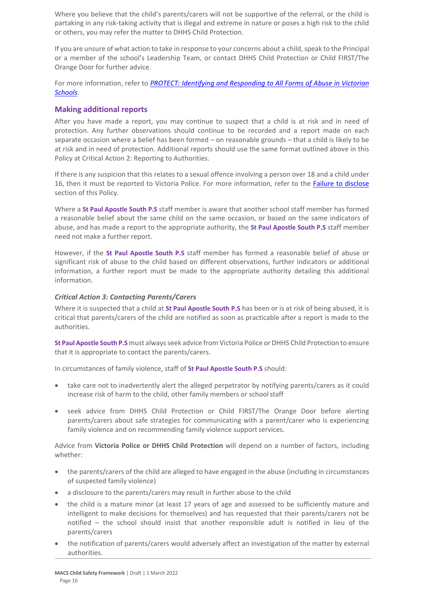Where you believe that the child's parents/carers will not be supportive of the referral, or the child is partaking in any risk-taking activity that is illegal and extreme in nature or poses a high risk to the child or others, you may refer the matter to DHHS Child Protection.

If you are unsure of what action to take in response to your concerns about a child, speak to the Principal or a member of the school's Leadership Team, or contact DHHS Child Protection or Child FIRST/The Orange Door for further advice.

For more information, refer to *[PROTECT: Identifying and Responding to All Forms of Abuse in Victorian](http://www.education.vic.gov.au/Documents/about/programs/health/protect/ChildSafeStandard5_SchoolsGuide.pdf)  [Schools](http://www.education.vic.gov.au/Documents/about/programs/health/protect/ChildSafeStandard5_SchoolsGuide.pdf)*.

# **Making additional reports**

After you have made a report, you may continue to suspect that a child is at risk and in need of protection. Any further observations should continue to be recorded and a report made on each separate occasion where a belief has been formed – on reasonable grounds – that a child is likely to be at risk and in need of protection. Additional reports should use the same format outlined above in this Policy at Critical Action 2: Reporting to Authorities.

If there is any suspicion that this relates to a sexual offence involving a person over 18 and a child under 16, then it must be reported to Victoria Police. For more information, refer to the [Failure to disclose](#page-5-0) section of this Policy.

Where a **St Paul Apostle South P.S** staff member is aware that another school staff member has formed a reasonable belief about the same child on the same occasion, or based on the same indicators of abuse, and has made a report to the appropriate authority, the **St Paul Apostle South P.S** staff member need not make a further report.

However, if the **St Paul Apostle South P.S** staff member has formed a reasonable belief of abuse or significant risk of abuse to the child based on different observations, further indicators or additional information, a further report must be made to the appropriate authority detailing this additional information.

#### *Critical Action 3: Contacting Parents/Carers*

Where it is suspected that a child at **St Paul Apostle South P.S** has been or is at risk of being abused, it is critical that parents/carers of the child are notified as soon as practicable after a report is made to the authorities.

**St Paul Apostle South P.S** must always seek advice from Victoria Police or DHHS Child Protection to ensure that it is appropriate to contact the parents/carers.

In circumstances of family violence, staff of **St Paul Apostle South P.S** should:

- take care not to inadvertently alert the alleged perpetrator by notifying parents/carers as it could increase risk of harm to the child, other family members or schoolstaff
- seek advice from DHHS Child Protection or Child FIRST/The Orange Door before alerting parents/carers about safe strategies for communicating with a parent/carer who is experiencing family violence and on recommending family violence support services.

Advice from **Victoria Police or DHHS Child Protection** will depend on a number of factors, including whether:

- the parents/carers of the child are alleged to have engaged in the abuse (including in circumstances of suspected family violence)
- a disclosure to the parents/carers may result in further abuse to the child
- the child is a mature minor (at least 17 years of age and assessed to be sufficiently mature and intelligent to make decisions for themselves) and has requested that their parents/carers not be notified – the school should insist that another responsible adult is notified in lieu of the parents/carers
- the notification of parents/carers would adversely affect an investigation of the matter by external authorities.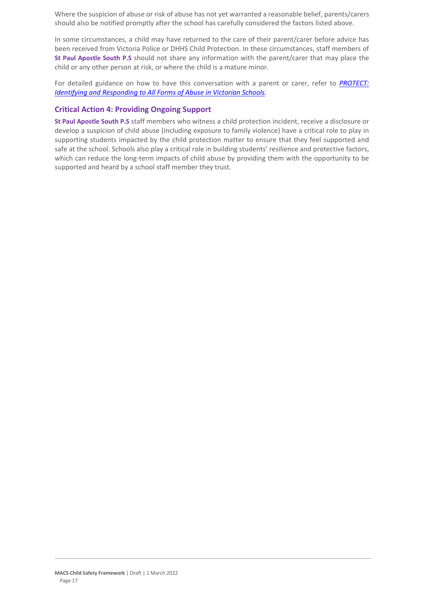Where the suspicion of abuse or risk of abuse has not yet warranted a reasonable belief, parents/carers should also be notified promptly after the school has carefully considered the factors listed above.

In some circumstances, a child may have returned to the care of their parent/carer before advice has been received from Victoria Police or DHHS Child Protection. In these circumstances, staff members of **St Paul Apostle South P.S** should not share any information with the parent/carer that may place the child or any other person at risk, or where the child is a mature minor.

For detailed guidance on how to have this conversation with a parent or carer, refer to *[PROTECT:](http://www.education.vic.gov.au/Documents/about/programs/health/protect/ChildSafeStandard5_SchoolsGuide.pdf)  [Identifying and Responding to All Forms of Abuse in Victorian Schools.](http://www.education.vic.gov.au/Documents/about/programs/health/protect/ChildSafeStandard5_SchoolsGuide.pdf)*

# **Critical Action 4: Providing Ongoing Support**

**St Paul Apostle South P.S** staff members who witness a child protection incident, receive a disclosure or develop a suspicion of child abuse (including exposure to family violence) have a critical role to play in supporting students impacted by the child protection matter to ensure that they feel supported and safe at the school. Schools also play a critical role in building students' resilience and protective factors, which can reduce the long-term impacts of child abuse by providing them with the opportunity to be supported and heard by a school staff member they trust.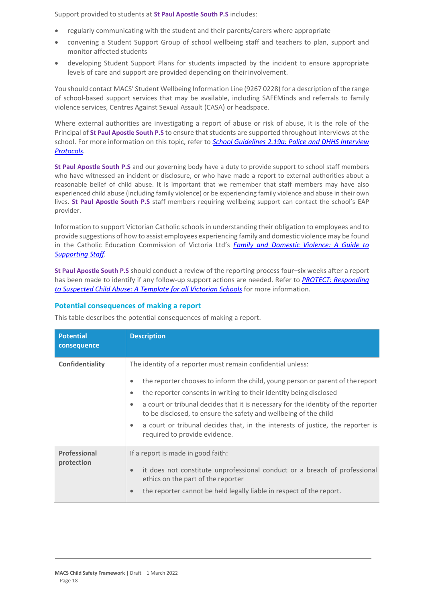Support provided to students at **St Paul Apostle South P.S** includes:

- regularly communicating with the student and their parents/carers where appropriate
- convening a Student Support Group of school wellbeing staff and teachers to plan, support and monitor affected students
- developing Student Support Plans for students impacted by the incident to ensure appropriate levels of care and support are provided depending on their involvement.

You should contact MACS' Student Wellbeing Information Line (9267 0228) for a description of the range of school-based support services that may be available, including SAFEMinds and referrals to family violence services, Centres Against Sexual Assault (CASA) or headspace.

Where external authorities are investigating a report of abuse or risk of abuse, it is the role of the Principal of **St Paul Apostle South P.S** to ensure that students are supported throughout interviews at the school. For more information on this topic, refer to *[School Guidelines 2.19a: Police and DHHS Interview](https://www.cem.edu.au/About-Us/Policies/Police-and-DHHS-Interview-Protocols.aspx)  [Protocols.](https://www.cem.edu.au/About-Us/Policies/Police-and-DHHS-Interview-Protocols.aspx)*

**St Paul Apostle South P.S** and our governing body have a duty to provide support to school staff members who have witnessed an incident or disclosure, or who have made a report to external authorities about a reasonable belief of child abuse. It is important that we remember that staff members may have also experienced child abuse (including family violence) or be experiencing family violence and abuse in their own lives. **St Paul Apostle South P.S** staff members requiring wellbeing support can contact the school's EAP provider.

Information to support Victorian Catholic schools in understanding their obligation to employees and to provide suggestions of how to assist employees experiencing family and domestic violence may be found in the Catholic Education Commission of Victoria Ltd's *[Family and Domestic Violence: A Guide to](https://www.cecv.catholic.edu.au/Media-Files/IR/Policies-Guidelines/Family-Domestic-Violence/Guide-to-family-and-domestic-violence-(1).aspx)  [Supporting Staff](https://www.cecv.catholic.edu.au/Media-Files/IR/Policies-Guidelines/Family-Domestic-Violence/Guide-to-family-and-domestic-violence-(1).aspx)[.](http://www.cecv.catholic.edu.au/Media-Files/IR/Policies-Guidelines/Guide-to-family-and-domestic-violence.aspx)*

**St Paul Apostle South P.S** should conduct a review of the reporting process four–six weeks after a report has been made to identify if any follow-up support actions are needed. Refer to *[PROTECT: Responding](http://www.education.vic.gov.au/Documents/about/programs/health/protect/PROTECT_Responding_TemplateSchools.pdf)  [to Suspected Child Abuse: A Template for all Victorian Schools](http://www.education.vic.gov.au/Documents/about/programs/health/protect/PROTECT_Responding_TemplateSchools.pdf)* for more information.

#### **Potential consequences of making a report**

This table describes the potential consequences of making a report.

| <b>Potential</b><br>consequence | <b>Description</b>                                                                                                                                                                                                                                                                                                                                                                                                                                                                                                                                  |
|---------------------------------|-----------------------------------------------------------------------------------------------------------------------------------------------------------------------------------------------------------------------------------------------------------------------------------------------------------------------------------------------------------------------------------------------------------------------------------------------------------------------------------------------------------------------------------------------------|
| Confidentiality                 | The identity of a reporter must remain confidential unless:<br>the reporter chooses to inform the child, young person or parent of the report<br>$\bullet$<br>the reporter consents in writing to their identity being disclosed<br>$\bullet$<br>a court or tribunal decides that it is necessary for the identity of the reporter<br>$\bullet$<br>to be disclosed, to ensure the safety and wellbeing of the child<br>a court or tribunal decides that, in the interests of justice, the reporter is<br>$\bullet$<br>required to provide evidence. |
| Professional<br>protection      | If a report is made in good faith:<br>it does not constitute unprofessional conduct or a breach of professional<br>$\bullet$<br>ethics on the part of the reporter<br>the reporter cannot be held legally liable in respect of the report.<br>$\bullet$                                                                                                                                                                                                                                                                                             |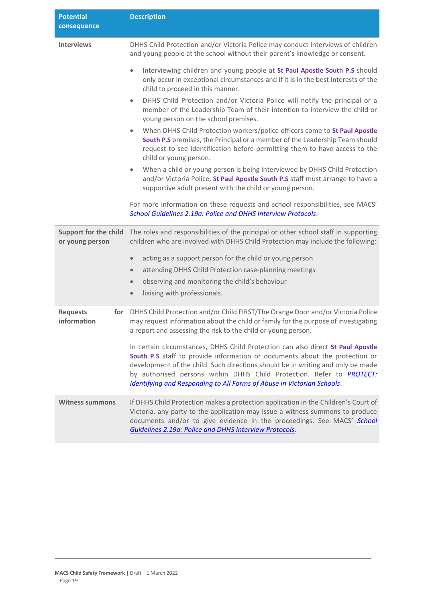| <b>Potential</b><br>consequence                 | <b>Description</b>                                                                                                                                                                                                                                                                                                                                                                                          |
|-------------------------------------------------|-------------------------------------------------------------------------------------------------------------------------------------------------------------------------------------------------------------------------------------------------------------------------------------------------------------------------------------------------------------------------------------------------------------|
| <b>Interviews</b>                               | DHHS Child Protection and/or Victoria Police may conduct interviews of children<br>and young people at the school without their parent's knowledge or consent.                                                                                                                                                                                                                                              |
|                                                 | Interviewing children and young people at St Paul Apostle South P.S should<br>$\bullet$<br>only occur in exceptional circumstances and if it is in the best interests of the<br>child to proceed in this manner.                                                                                                                                                                                            |
|                                                 | DHHS Child Protection and/or Victoria Police will notify the principal or a<br>$\bullet$<br>member of the Leadership Team of their intention to interview the child or<br>young person on the school premises.                                                                                                                                                                                              |
|                                                 | When DHHS Child Protection workers/police officers come to St Paul Apostle<br>$\bullet$<br>South P.S premises, the Principal or a member of the Leadership Team should<br>request to see identification before permitting them to have access to the<br>child or young person.                                                                                                                              |
|                                                 | When a child or young person is being interviewed by DHHS Child Protection<br>$\bullet$<br>and/or Victoria Police, St Paul Apostle South P.S staff must arrange to have a<br>supportive adult present with the child or young person.                                                                                                                                                                       |
|                                                 | For more information on these requests and school responsibilities, see MACS'<br>School Guidelines 2.19a: Police and DHHS Interview Protocols.                                                                                                                                                                                                                                                              |
| <b>Support for the child</b><br>or young person | The roles and responsibilities of the principal or other school staff in supporting<br>children who are involved with DHHS Child Protection may include the following:                                                                                                                                                                                                                                      |
|                                                 | acting as a support person for the child or young person<br>$\bullet$                                                                                                                                                                                                                                                                                                                                       |
|                                                 | attending DHHS Child Protection case-planning meetings<br>$\bullet$                                                                                                                                                                                                                                                                                                                                         |
|                                                 | observing and monitoring the child's behaviour<br>$\bullet$                                                                                                                                                                                                                                                                                                                                                 |
|                                                 | liaising with professionals.<br>$\bullet$                                                                                                                                                                                                                                                                                                                                                                   |
| <b>Requests</b><br>for<br>information           | DHHS Child Protection and/or Child FIRST/The Orange Door and/or Victoria Police<br>may request information about the child or family for the purpose of investigating<br>a report and assessing the risk to the child or young person.                                                                                                                                                                      |
|                                                 | In certain circumstances, DHHS Child Protection can also direct St Paul Apostle<br>South P.S staff to provide information or documents about the protection or<br>development of the child. Such directions should be in writing and only be made<br>by authorised persons within DHHS Child Protection. Refer to <b>PROTECT:</b><br>Identifying and Responding to All Forms of Abuse in Victorian Schools. |
| <b>Witness summons</b>                          | If DHHS Child Protection makes a protection application in the Children's Court of<br>Victoria, any party to the application may issue a witness summons to produce<br>documents and/or to give evidence in the proceedings. See MACS' School<br>Guidelines 2.19a: Police and DHHS Interview Protocols.                                                                                                     |